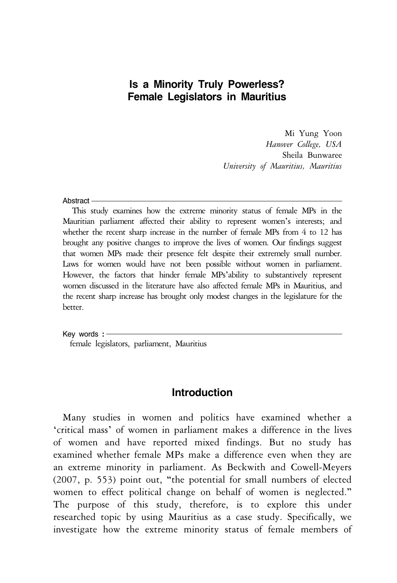## **Is a Minority Truly Powerless? Female Legislators in Mauritius**

Mi Yung Yoon *Hanover College, USA* Sheila Bunwaree *University of Mauritius, Mauritius*

#### **Abstract**

This study examines how the extreme minority status of female MPs in the Mauritian parliament affected their ability to represent women's interests; and whether the recent sharp increase in the number of female MPs from 4 to 12 has brought any positive changes to improve the lives of women. Our findings suggest that women MPs made their presence felt despite their extremely small number. Laws for women would have not been possible without women in parliament. However, the factors that hinder female MPs'ability to substantively represent women discussed in the literature have also affected female MPs in Mauritius, and the recent sharp increase has brought only modest changes in the legislature for the better.

Key words **:** female legislators, parliament, Mauritius

### **Introduction**

Many studies in women and politics have examined whether a 'critical mass' of women in parliament makes a difference in the lives of women and have reported mixed findings. But no study has examined whether female MPs make a difference even when they are an extreme minority in parliament. As Beckwith and Cowell-Meyers (2007, p. 553) point out, "the potential for small numbers of elected women to effect political change on behalf of women is neglected." The purpose of this study, therefore, is to explore this under researched topic by using Mauritius as a case study. Specifically, we investigate how the extreme minority status of female members of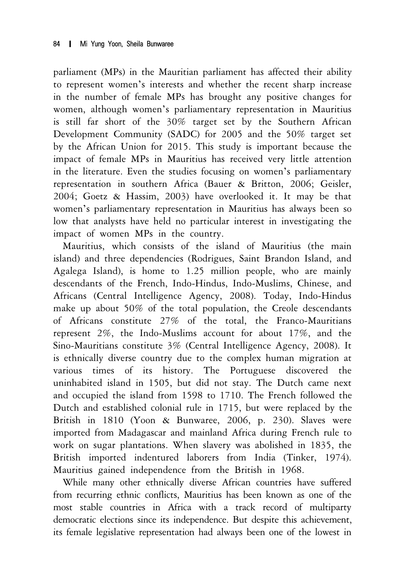parliament (MPs) in the Mauritian parliament has affected their ability to represent women's interests and whether the recent sharp increase in the number of female MPs has brought any positive changes for women, although women's parliamentary representation in Mauritius is still far short of the 30% target set by the Southern African Development Community (SADC) for 2005 and the 50% target set by the African Union for 2015. This study is important because the impact of female MPs in Mauritius has received very little attention in the literature. Even the studies focusing on women's parliamentary representation in southern Africa (Bauer & Britton, 2006; Geisler, 2004; Goetz & Hassim, 2003) have overlooked it. It may be that women's parliamentary representation in Mauritius has always been so low that analysts have held no particular interest in investigating the impact of women MPs in the country.

Mauritius, which consists of the island of Mauritius (the main island) and three dependencies (Rodrigues, Saint Brandon Island, and Agalega Island), is home to 1.25 million people, who are mainly descendants of the French, Indo-Hindus, Indo-Muslims, Chinese, and Africans (Central Intelligence Agency, 2008). Today, Indo-Hindus make up about 50% of the total population, the Creole descendants of Africans constitute 27% of the total, the Franco-Mauritians represent 2%, the Indo-Muslims account for about 17%, and the Sino-Mauritians constitute 3% (Central Intelligence Agency, 2008). It is ethnically diverse country due to the complex human migration at various times of its history. The Portuguese discovered the uninhabited island in 1505, but did not stay. The Dutch came next and occupied the island from 1598 to 1710. The French followed the Dutch and established colonial rule in 1715, but were replaced by the British in 1810 (Yoon & Bunwaree, 2006, p. 230). Slaves were imported from Madagascar and mainland Africa during French rule to work on sugar plantations. When slavery was abolished in 1835, the British imported indentured laborers from India (Tinker, 1974). Mauritius gained independence from the British in 1968.

While many other ethnically diverse African countries have suffered from recurring ethnic conflicts, Mauritius has been known as one of the most stable countries in Africa with a track record of multiparty democratic elections since its independence. But despite this achievement, its female legislative representation had always been one of the lowest in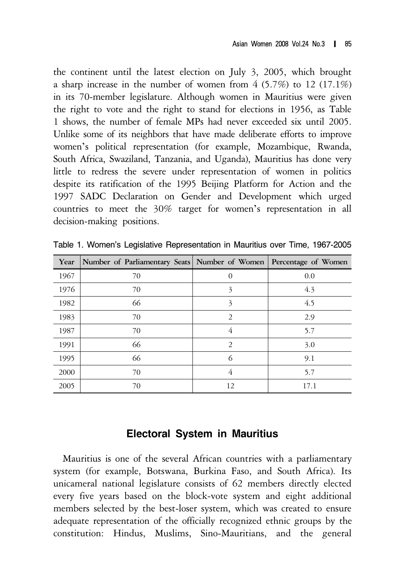the continent until the latest election on July 3, 2005, which brought a sharp increase in the number of women from 4 (5.7%) to 12 (17.1%) in its 70-member legislature. Although women in Mauritius were given the right to vote and the right to stand for elections in 1956, as Table 1 shows, the number of female MPs had never exceeded six until 2005. Unlike some of its neighbors that have made deliberate efforts to improve women's political representation (for example, Mozambique, Rwanda, South Africa, Swaziland, Tanzania, and Uganda), Mauritius has done very little to redress the severe under representation of women in politics despite its ratification of the 1995 Beijing Platform for Action and the 1997 SADC Declaration on Gender and Development which urged countries to meet the 30% target for women's representation in all decision-making positions.

| Year | Number of Parliamentary Seats Number of Women Percentage of Women |                |      |
|------|-------------------------------------------------------------------|----------------|------|
| 1967 | 70                                                                | 0              | 0.0  |
| 1976 | 70                                                                | 3              | 4.3  |
| 1982 | 66                                                                | 3              | 4.5  |
| 1983 | 70                                                                | $\overline{2}$ | 2.9  |
| 1987 | 70                                                                | 4              | 5.7  |
| 1991 | 66                                                                | $\mathcal{P}$  | 3.0  |
| 1995 | 66                                                                | 6              | 9.1  |
| 2000 | 70                                                                | 4              | 5.7  |
| 2005 | 70                                                                | 12             | 17.1 |

Table 1. Women's Legislative Representation in Mauritius over Time, 1967-2005

## **Electoral System in Mauritius**

Mauritius is one of the several African countries with a parliamentary system (for example, Botswana, Burkina Faso, and South Africa). Its unicameral national legislature consists of 62 members directly elected every five years based on the block-vote system and eight additional members selected by the best-loser system, which was created to ensure adequate representation of the officially recognized ethnic groups by the constitution: Hindus, Muslims, Sino-Mauritians, and the general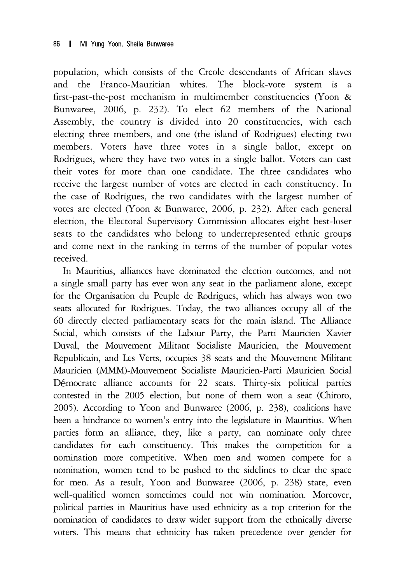population, which consists of the Creole descendants of African slaves and the Franco-Mauritian whites. The block-vote system is a first-past-the-post mechanism in multimember constituencies (Yoon & Bunwaree, 2006, p. 232). To elect 62 members of the National Assembly, the country is divided into 20 constituencies, with each electing three members, and one (the island of Rodrigues) electing two members. Voters have three votes in a single ballot, except on Rodrigues, where they have two votes in a single ballot. Voters can cast their votes for more than one candidate. The three candidates who receive the largest number of votes are elected in each constituency. In the case of Rodrigues, the two candidates with the largest number of votes are elected (Yoon & Bunwaree, 2006, p. 232). After each general election, the Electoral Supervisory Commission allocates eight best-loser seats to the candidates who belong to underrepresented ethnic groups and come next in the ranking in terms of the number of popular votes received.

In Mauritius, alliances have dominated the election outcomes, and not a single small party has ever won any seat in the parliament alone, except for the Organisation du Peuple de Rodrigues, which has always won two seats allocated for Rodrigues. Today, the two alliances occupy all of the 60 directly elected parliamentary seats for the main island. The Alliance Social, which consists of the Labour Party, the Parti Mauricien Xavier Duval, the Mouvement Militant Socialiste Mauricien, the Mouvement Republicain, and Les Verts, occupies 38 seats and the Mouvement Militant Mauricien (MMM)-Mouvement Socialiste Mauricien-Parti Mauricien Social Démocrate alliance accounts for 22 seats. Thirty-six political parties contested in the 2005 election, but none of them won a seat (Chiroro, 2005). According to Yoon and Bunwaree (2006, p. 238), coalitions have been a hindrance to women's entry into the legislature in Mauritius. When parties form an alliance, they, like a party, can nominate only three candidates for each constituency. This makes the competition for a nomination more competitive. When men and women compete for a nomination, women tend to be pushed to the sidelines to clear the space for men. As a result, Yoon and Bunwaree (2006, p. 238) state, even well-qualified women sometimes could not win nomination. Moreover, political parties in Mauritius have used ethnicity as a top criterion for the nomination of candidates to draw wider support from the ethnically diverse voters. This means that ethnicity has taken precedence over gender for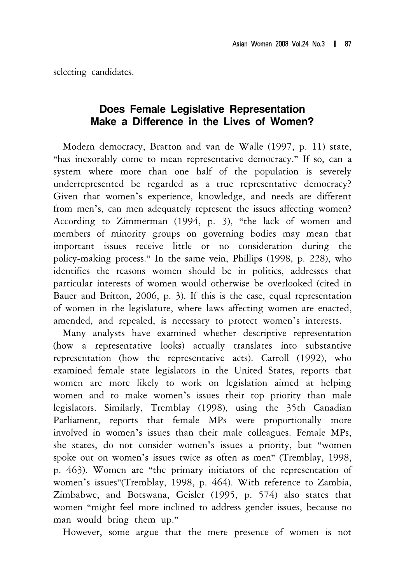selecting candidates.

# **Does Female Legislative Representation Make a Difference in the Lives of Women?**

Modern democracy, Bratton and van de Walle (1997, p. 11) state, "has inexorably come to mean representative democracy." If so, can a system where more than one half of the population is severely underrepresented be regarded as a true representative democracy? Given that women's experience, knowledge, and needs are different from men's, can men adequately represent the issues affecting women? According to Zimmerman (1994, p. 3), "the lack of women and members of minority groups on governing bodies may mean that important issues receive little or no consideration during the policy-making process." In the same vein, Phillips (1998, p. 228), who identifies the reasons women should be in politics, addresses that particular interests of women would otherwise be overlooked (cited in Bauer and Britton, 2006, p. 3). If this is the case, equal representation of women in the legislature, where laws affecting women are enacted, amended, and repealed, is necessary to protect women's interests.

Many analysts have examined whether descriptive representation (how a representative looks) actually translates into substantive representation (how the representative acts). Carroll (1992), who examined female state legislators in the United States, reports that women are more likely to work on legislation aimed at helping women and to make women's issues their top priority than male legislators. Similarly, Tremblay (1998), using the 35th Canadian Parliament, reports that female MPs were proportionally more involved in women's issues than their male colleagues. Female MPs, she states, do not consider women's issues a priority, but "women spoke out on women's issues twice as often as men" (Tremblay, 1998, p. 463). Women are "the primary initiators of the representation of women's issues"(Tremblay, 1998, p. 464). With reference to Zambia, Zimbabwe, and Botswana, Geisler (1995, p. 574) also states that women "might feel more inclined to address gender issues, because no man would bring them up."

However, some argue that the mere presence of women is not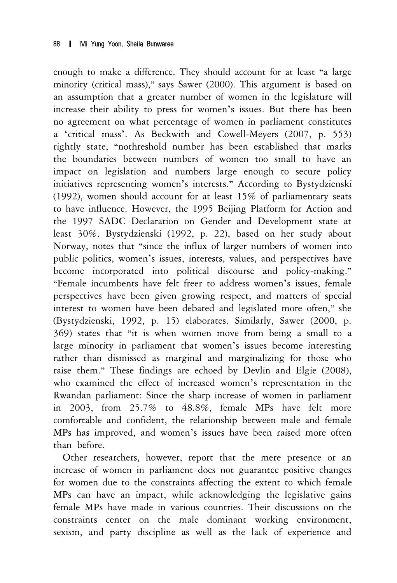enough to make a difference. They should account for at least "a large minority (critical mass)," says Sawer (2000). This argument is based on an assumption that a greater number of women in the legislature will increase their ability to press for women's issues. But there has been no agreement on what percentage of women in parliament constitutes a 'critical mass'. As Beckwith and Cowell-Meyers (2007, p. 553) rightly state, "nothreshold number has been established that marks the boundaries between numbers of women too small to have an impact on legislation and numbers large enough to secure policy initiatives representing women's interests." According to Bystydzienski (1992), women should account for at least 15% of parliamentary seats to have influence. However, the 1995 Beijing Platform for Action and the 1997 SADC Declaration on Gender and Development state at least 30%. Bystydzienski (1992, p. 22), based on her study about Norway, notes that "since the influx of larger numbers of women into public politics, women's issues, interests, values, and perspectives have become incorporated into political discourse and policy-making." "Female incumbents have felt freer to address women's issues, female perspectives have been given growing respect, and matters of special interest to women have been debated and legislated more often," she (Bystydzienski, 1992, p. 15) elaborates. Similarly, Sawer (2000, p. 369) states that "it is when women move from being a small to a large minority in parliament that women's issues become interesting rather than dismissed as marginal and marginalizing for those who raise them." These findings are echoed by Devlin and Elgie (2008), who examined the effect of increased women's representation in the Rwandan parliament: Since the sharp increase of women in parliament in 2003, from 25.7% to 48.8%, female MPs have felt more comfortable and confident, the relationship between male and female MPs has improved, and women's issues have been raised more often than before.

Other researchers, however, report that the mere presence or an increase of women in parliament does not guarantee positive changes for women due to the constraints affecting the extent to which female MPs can have an impact, while acknowledging the legislative gains female MPs have made in various countries. Their discussions on the constraints center on the male dominant working environment, sexism, and party discipline as well as the lack of experience and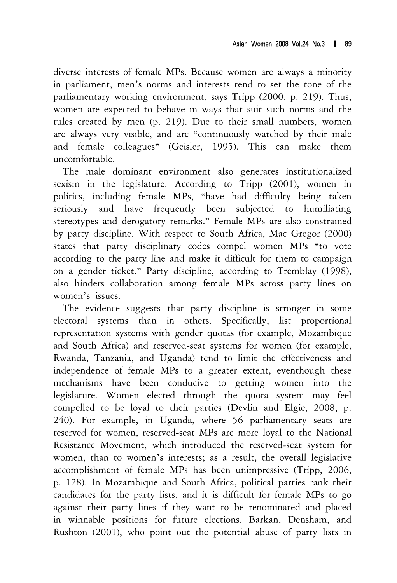diverse interests of female MPs. Because women are always a minority in parliament, men's norms and interests tend to set the tone of the parliamentary working environment, says Tripp (2000, p. 219). Thus, women are expected to behave in ways that suit such norms and the rules created by men (p. 219). Due to their small numbers, women are always very visible, and are "continuously watched by their male and female colleagues" (Geisler, 1995). This can make them uncomfortable.

The male dominant environment also generates institutionalized sexism in the legislature. According to Tripp (2001), women in politics, including female MPs, "have had difficulty being taken seriously and have frequently been subjected to humiliating stereotypes and derogatory remarks." Female MPs are also constrained by party discipline. With respect to South Africa, Mac Gregor (2000) states that party disciplinary codes compel women MPs "to vote according to the party line and make it difficult for them to campaign on a gender ticket." Party discipline, according to Tremblay (1998), also hinders collaboration among female MPs across party lines on women's issues.

The evidence suggests that party discipline is stronger in some electoral systems than in others. Specifically, list proportional representation systems with gender quotas (for example, Mozambique and South Africa) and reserved-seat systems for women (for example, Rwanda, Tanzania, and Uganda) tend to limit the effectiveness and independence of female MPs to a greater extent, eventhough these mechanisms have been conducive to getting women into the legislature. Women elected through the quota system may feel compelled to be loyal to their parties (Devlin and Elgie, 2008, p. 240). For example, in Uganda, where 56 parliamentary seats are reserved for women, reserved-seat MPs are more loyal to the National Resistance Movement, which introduced the reserved-seat system for women, than to women's interests; as a result, the overall legislative accomplishment of female MPs has been unimpressive (Tripp, 2006, p. 128). In Mozambique and South Africa, political parties rank their candidates for the party lists, and it is difficult for female MPs to go against their party lines if they want to be renominated and placed in winnable positions for future elections. Barkan, Densham, and Rushton (2001), who point out the potential abuse of party lists in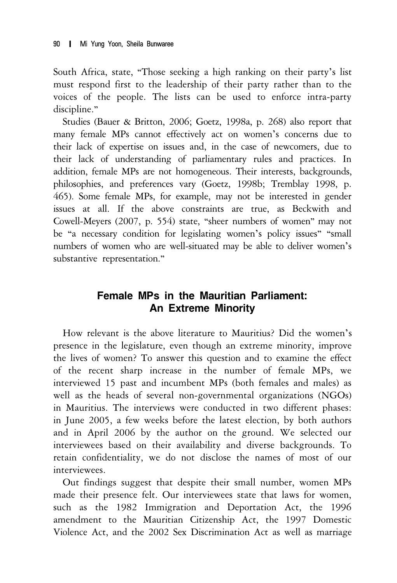South Africa, state, "Those seeking a high ranking on their party's list must respond first to the leadership of their party rather than to the voices of the people. The lists can be used to enforce intra-party discipline."

Studies (Bauer & Britton, 2006; Goetz, 1998a, p. 268) also report that many female MPs cannot effectively act on women's concerns due to their lack of expertise on issues and, in the case of newcomers, due to their lack of understanding of parliamentary rules and practices. In addition, female MPs are not homogeneous. Their interests, backgrounds, philosophies, and preferences vary (Goetz, 1998b; Tremblay 1998, p. 465). Some female MPs, for example, may not be interested in gender issues at all. If the above constraints are true, as Beckwith and Cowell-Meyers (2007, p. 554) state, "sheer numbers of women" may not be "a necessary condition for legislating women's policy issues" "small numbers of women who are well-situated may be able to deliver women's substantive representation."

# **Female MPs in the Mauritian Parliament: An Extreme Minority**

How relevant is the above literature to Mauritius? Did the women's presence in the legislature, even though an extreme minority, improve the lives of women? To answer this question and to examine the effect of the recent sharp increase in the number of female MPs, we interviewed 15 past and incumbent MPs (both females and males) as well as the heads of several non-governmental organizations (NGOs) in Mauritius. The interviews were conducted in two different phases: in June 2005, a few weeks before the latest election, by both authors and in April 2006 by the author on the ground. We selected our interviewees based on their availability and diverse backgrounds. To retain confidentiality, we do not disclose the names of most of our interviewees.

Out findings suggest that despite their small number, women MPs made their presence felt. Our interviewees state that laws for women, such as the 1982 Immigration and Deportation Act, the 1996 amendment to the Mauritian Citizenship Act, the 1997 Domestic Violence Act, and the 2002 Sex Discrimination Act as well as marriage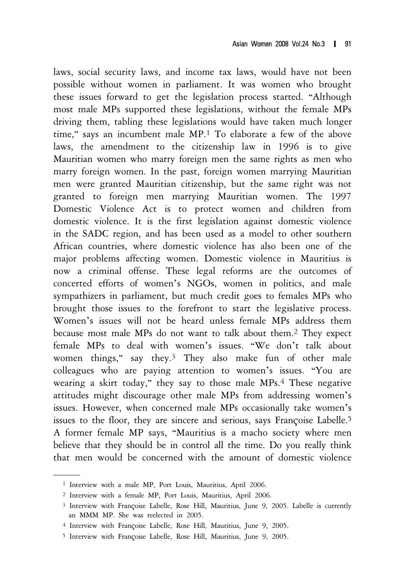laws, social security laws, and income tax laws, would have not been possible without women in parliament. It was women who brought these issues forward to get the legislation process started. "Although most male MPs supported these legislations, without the female MPs driving them, tabling these legislations would have taken much longer time," says an incumbent male MP.1 To elaborate a few of the above laws, the amendment to the citizenship law in 1996 is to give Mauritian women who marry foreign men the same rights as men who marry foreign women. In the past, foreign women marrying Mauritian men were granted Mauritian citizenship, but the same right was not granted to foreign men marrying Mauritian women. The 1997 Domestic Violence Act is to protect women and children from domestic violence. It is the first legislation against domestic violence in the SADC region, and has been used as a model to other southern African countries, where domestic violence has also been one of the major problems affecting women. Domestic violence in Mauritius is now a criminal offense. These legal reforms are the outcomes of concerted efforts of women's NGOs, women in politics, and male sympathizers in parliament, but much credit goes to females MPs who brought those issues to the forefront to start the legislative process. Women's issues will not be heard unless female MPs address them because most male MPs do not want to talk about them.2 They expect female MPs to deal with women's issues. "We don't talk about women things," say they.<sup>3</sup> They also make fun of other male colleagues who are paying attention to women's issues. "You are wearing a skirt today," they say to those male MPs.<sup>4</sup> These negative attitudes might discourage other male MPs from addressing women's issues. However, when concerned male MPs occasionally take women's issues to the floor, they are sincere and serious, says Françoise Labelle.5 A former female MP says, "Mauritius is a macho society where men believe that they should be in control all the time. Do you really think that men would be concerned with the amount of domestic violence

<sup>1</sup> Interview with a male MP, Port Louis, Mauritius, April 2006.

<sup>2</sup> Interview with a female MP, Port Louis, Mauritius, April 2006.

<sup>3</sup> Interview with Françoise Labelle, Rose Hill, Mauritius, June 9, 2005. Labelle is currently an MMM MP. She was reelected in 2005.

<sup>4</sup> Interview with Françoise Labelle, Rose Hill, Mauritius, June 9, 2005.

<sup>5</sup> Interview with Françoise Labelle, Rose Hill, Mauritius, June 9, 2005.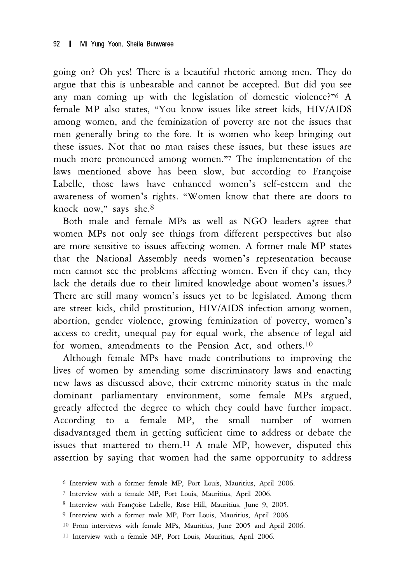going on? Oh yes! There is a beautiful rhetoric among men. They do argue that this is unbearable and cannot be accepted. But did you see any man coming up with the legislation of domestic violence?"6 A female MP also states, "You know issues like street kids, HIV/AIDS among women, and the feminization of poverty are not the issues that men generally bring to the fore. It is women who keep bringing out these issues. Not that no man raises these issues, but these issues are much more pronounced among women."7 The implementation of the laws mentioned above has been slow, but according to Françoise Labelle, those laws have enhanced women's self-esteem and the awareness of women's rights. "Women know that there are doors to knock now," says she.8

Both male and female MPs as well as NGO leaders agree that women MPs not only see things from different perspectives but also are more sensitive to issues affecting women. A former male MP states that the National Assembly needs women's representation because men cannot see the problems affecting women. Even if they can, they lack the details due to their limited knowledge about women's issues.<sup>9</sup> There are still many women's issues yet to be legislated. Among them are street kids, child prostitution, HIV/AIDS infection among women, abortion, gender violence, growing feminization of poverty, women's access to credit, unequal pay for equal work, the absence of legal aid for women, amendments to the Pension Act, and others.<sup>10</sup>

Although female MPs have made contributions to improving the lives of women by amending some discriminatory laws and enacting new laws as discussed above, their extreme minority status in the male dominant parliamentary environment, some female MPs argued, greatly affected the degree to which they could have further impact. According to a female MP, the small number of women disadvantaged them in getting sufficient time to address or debate the issues that mattered to them.11 A male MP, however, disputed this assertion by saying that women had the same opportunity to address

<sup>6</sup> Interview with a former female MP, Port Louis, Mauritius, April 2006.

<sup>7</sup> Interview with a female MP, Port Louis, Mauritius, April 2006.

<sup>8</sup> Interview with Françoise Labelle, Rose Hill, Mauritius, June 9, 2005.

<sup>9</sup> Interview with a former male MP, Port Louis, Mauritius, April 2006.

<sup>10</sup> From interviews with female MPs, Mauritius, June 2005 and April 2006.

<sup>11</sup> Interview with a female MP, Port Louis, Mauritius, April 2006.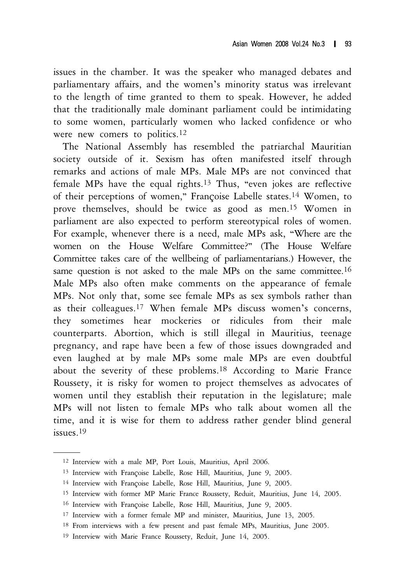issues in the chamber. It was the speaker who managed debates and parliamentary affairs, and the women's minority status was irrelevant to the length of time granted to them to speak. However, he added that the traditionally male dominant parliament could be intimidating to some women, particularly women who lacked confidence or who were new comers to politics.<sup>12</sup>

The National Assembly has resembled the patriarchal Mauritian society outside of it. Sexism has often manifested itself through remarks and actions of male MPs. Male MPs are not convinced that female MPs have the equal rights.<sup>13</sup> Thus, "even jokes are reflective of their perceptions of women," Françoise Labelle states.14 Women, to prove themselves, should be twice as good as men.15 Women in parliament are also expected to perform stereotypical roles of women. For example, whenever there is a need, male MPs ask, "Where are the women on the House Welfare Committee?" (The House Welfare Committee takes care of the wellbeing of parliamentarians.) However, the same question is not asked to the male MPs on the same committee.<sup>16</sup> Male MPs also often make comments on the appearance of female MPs. Not only that, some see female MPs as sex symbols rather than as their colleagues.17 When female MPs discuss women's concerns, they sometimes hear mockeries or ridicules from their male counterparts. Abortion, which is still illegal in Mauritius, teenage pregnancy, and rape have been a few of those issues downgraded and even laughed at by male MPs some male MPs are even doubtful about the severity of these problems.18 According to Marie France Roussety, it is risky for women to project themselves as advocates of women until they establish their reputation in the legislature; male MPs will not listen to female MPs who talk about women all the time, and it is wise for them to address rather gender blind general issues.19

<sup>12</sup> Interview with a male MP, Port Louis, Mauritius, April 2006.

<sup>13</sup> Interview with Françoise Labelle, Rose Hill, Mauritius, June 9, 2005.

<sup>14</sup> Interview with Françoise Labelle, Rose Hill, Mauritius, June 9, 2005.

<sup>15</sup> Interview with former MP Marie France Roussety, Reduit, Mauritius, June 14, 2005.

<sup>16</sup> Interview with Françoise Labelle, Rose Hill, Mauritius, June 9, 2005.

<sup>17</sup> Interview with a former female MP and minister, Mauritius, June 13, 2005.

<sup>18</sup> From interviews with a few present and past female MPs, Mauritius, June 2005.

<sup>19</sup> Interview with Marie France Roussety, Reduit, June 14, 2005.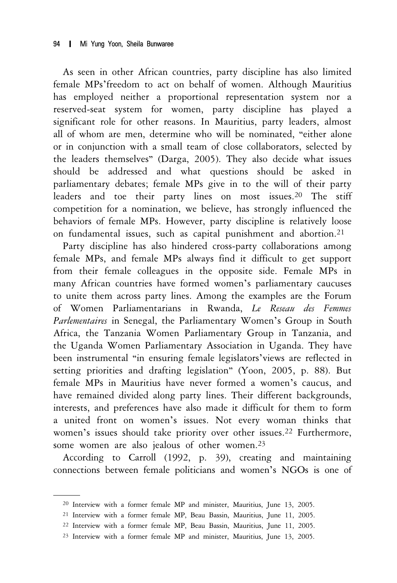As seen in other African countries, party discipline has also limited female MPs'freedom to act on behalf of women. Although Mauritius has employed neither a proportional representation system nor a reserved-seat system for women, party discipline has played a significant role for other reasons. In Mauritius, party leaders, almost all of whom are men, determine who will be nominated, "either alone or in conjunction with a small team of close collaborators, selected by the leaders themselves" (Darga, 2005). They also decide what issues should be addressed and what questions should be asked in parliamentary debates; female MPs give in to the will of their party leaders and toe their party lines on most issues.20 The stiff competition for a nomination, we believe, has strongly influenced the behaviors of female MPs. However, party discipline is relatively loose on fundamental issues, such as capital punishment and abortion.21

Party discipline has also hindered cross-party collaborations among female MPs, and female MPs always find it difficult to get support from their female colleagues in the opposite side. Female MPs in many African countries have formed women's parliamentary caucuses to unite them across party lines. Among the examples are the Forum of Women Parliamentarians in Rwanda, *Le Reseau des Femmes Parlementaires* in Senegal, the Parliamentary Women's Group in South Africa, the Tanzania Women Parliamentary Group in Tanzania, and the Uganda Women Parliamentary Association in Uganda. They have been instrumental "in ensuring female legislators'views are reflected in setting priorities and drafting legislation" (Yoon, 2005, p. 88). But female MPs in Mauritius have never formed a women's caucus, and have remained divided along party lines. Their different backgrounds, interests, and preferences have also made it difficult for them to form a united front on women's issues. Not every woman thinks that women's issues should take priority over other issues.22 Furthermore, some women are also jealous of other women.23

According to Carroll (1992, p. 39), creating and maintaining connections between female politicians and women's NGOs is one of

<sup>20</sup> Interview with a former female MP and minister, Mauritius, June 13, 2005.

<sup>21</sup> Interview with a former female MP, Beau Bassin, Mauritius, June 11, 2005.

<sup>22</sup> Interview with a former female MP, Beau Bassin, Mauritius, June 11, 2005.

<sup>23</sup> Interview with a former female MP and minister, Mauritius, June 13, 2005.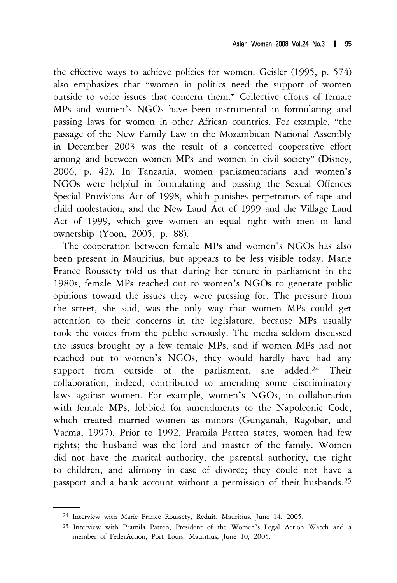the effective ways to achieve policies for women. Geisler (1995, p. 574) also emphasizes that "women in politics need the support of women outside to voice issues that concern them." Collective efforts of female MPs and women's NGOs have been instrumental in formulating and passing laws for women in other African countries. For example, "the passage of the New Family Law in the Mozambican National Assembly in December 2003 was the result of a concerted cooperative effort among and between women MPs and women in civil society" (Disney, 2006, p. 42). In Tanzania, women parliamentarians and women's NGOs were helpful in formulating and passing the Sexual Offences Special Provisions Act of 1998, which punishes perpetrators of rape and child molestation, and the New Land Act of 1999 and the Village Land Act of 1999, which give women an equal right with men in land ownership (Yoon, 2005, p. 88).

The cooperation between female MPs and women's NGOs has also been present in Mauritius, but appears to be less visible today. Marie France Roussety told us that during her tenure in parliament in the 1980s, female MPs reached out to women's NGOs to generate public opinions toward the issues they were pressing for. The pressure from the street, she said, was the only way that women MPs could get attention to their concerns in the legislature, because MPs usually took the voices from the public seriously. The media seldom discussed the issues brought by a few female MPs, and if women MPs had not reached out to women's NGOs, they would hardly have had any support from outside of the parliament, she added.<sup>24</sup> Their collaboration, indeed, contributed to amending some discriminatory laws against women. For example, women's NGOs, in collaboration with female MPs, lobbied for amendments to the Napoleonic Code, which treated married women as minors (Gunganah, Ragobar, and Varma, 1997). Prior to 1992, Pramila Patten states, women had few rights; the husband was the lord and master of the family. Women did not have the marital authority, the parental authority, the right to children, and alimony in case of divorce; they could not have a passport and a bank account without a permission of their husbands.25

<sup>24</sup> Interview with Marie France Roussety, Reduit, Mauritius, June 14, 2005.

<sup>25</sup> Interview with Pramila Patten, President of the Women's Legal Action Watch and a member of FederAction, Port Louis, Mauritius, June 10, 2005.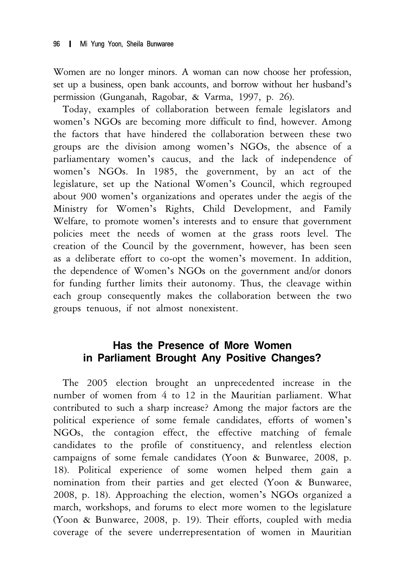Women are no longer minors. A woman can now choose her profession, set up a business, open bank accounts, and borrow without her husband's permission (Gunganah, Ragobar, & Varma, 1997, p. 26).

Today, examples of collaboration between female legislators and women's NGOs are becoming more difficult to find, however. Among the factors that have hindered the collaboration between these two groups are the division among women's NGOs, the absence of a parliamentary women's caucus, and the lack of independence of women's NGOs. In 1985, the government, by an act of the legislature, set up the National Women's Council, which regrouped about 900 women's organizations and operates under the aegis of the Ministry for Women's Rights, Child Development, and Family Welfare, to promote women's interests and to ensure that government policies meet the needs of women at the grass roots level. The creation of the Council by the government, however, has been seen as a deliberate effort to co-opt the women's movement. In addition, the dependence of Women's NGOs on the government and/or donors for funding further limits their autonomy. Thus, the cleavage within each group consequently makes the collaboration between the two groups tenuous, if not almost nonexistent.

## **Has the Presence of More Women in Parliament Brought Any Positive Changes?**

The 2005 election brought an unprecedented increase in the number of women from 4 to 12 in the Mauritian parliament. What contributed to such a sharp increase? Among the major factors are the political experience of some female candidates, efforts of women's NGOs, the contagion effect, the effective matching of female candidates to the profile of constituency, and relentless election campaigns of some female candidates (Yoon & Bunwaree, 2008, p. 18). Political experience of some women helped them gain a nomination from their parties and get elected (Yoon & Bunwaree, 2008, p. 18). Approaching the election, women's NGOs organized a march, workshops, and forums to elect more women to the legislature (Yoon & Bunwaree, 2008, p. 19). Their efforts, coupled with media coverage of the severe underrepresentation of women in Mauritian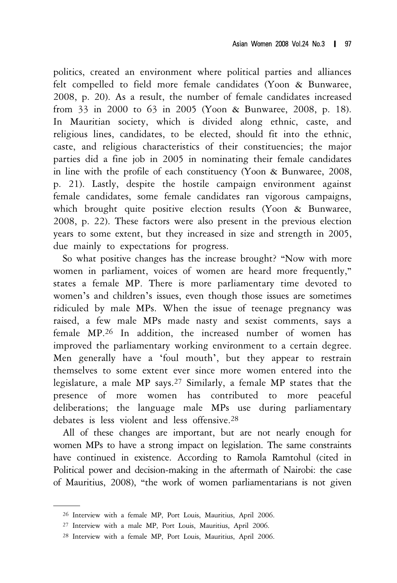politics, created an environment where political parties and alliances felt compelled to field more female candidates (Yoon & Bunwaree, 2008, p. 20). As a result, the number of female candidates increased from 33 in 2000 to 63 in 2005 (Yoon & Bunwaree, 2008, p. 18). In Mauritian society, which is divided along ethnic, caste, and religious lines, candidates, to be elected, should fit into the ethnic, caste, and religious characteristics of their constituencies; the major parties did a fine job in 2005 in nominating their female candidates in line with the profile of each constituency (Yoon & Bunwaree, 2008, p. 21). Lastly, despite the hostile campaign environment against female candidates, some female candidates ran vigorous campaigns, which brought quite positive election results (Yoon & Bunwaree, 2008, p. 22). These factors were also present in the previous election years to some extent, but they increased in size and strength in 2005, due mainly to expectations for progress.

So what positive changes has the increase brought? "Now with more women in parliament, voices of women are heard more frequently," states a female MP. There is more parliamentary time devoted to women's and children's issues, even though those issues are sometimes ridiculed by male MPs. When the issue of teenage pregnancy was raised, a few male MPs made nasty and sexist comments, says a female MP.26 In addition, the increased number of women has improved the parliamentary working environment to a certain degree. Men generally have a 'foul mouth', but they appear to restrain themselves to some extent ever since more women entered into the legislature, a male MP says.27 Similarly, a female MP states that the presence of more women has contributed to more peaceful deliberations; the language male MPs use during parliamentary debates is less violent and less offensive.28

All of these changes are important, but are not nearly enough for women MPs to have a strong impact on legislation. The same constraints have continued in existence. According to Ramola Ramtohul (cited in Political power and decision-making in the aftermath of Nairobi: the case of Mauritius, 2008), "the work of women parliamentarians is not given

<sup>26</sup> Interview with a female MP, Port Louis, Mauritius, April 2006.

<sup>27</sup> Interview with a male MP, Port Louis, Mauritius, April 2006.

<sup>28</sup> Interview with a female MP, Port Louis, Mauritius, April 2006.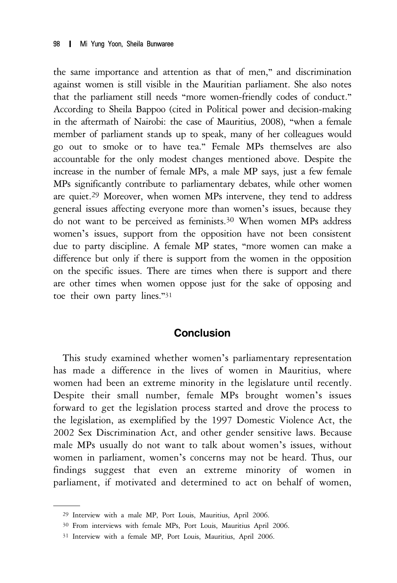the same importance and attention as that of men," and discrimination against women is still visible in the Mauritian parliament. She also notes that the parliament still needs "more women-friendly codes of conduct." According to Sheila Bappoo (cited in Political power and decision-making in the aftermath of Nairobi: the case of Mauritius, 2008), "when a female member of parliament stands up to speak, many of her colleagues would go out to smoke or to have tea." Female MPs themselves are also accountable for the only modest changes mentioned above. Despite the increase in the number of female MPs, a male MP says, just a few female MPs significantly contribute to parliamentary debates, while other women are quiet.29 Moreover, when women MPs intervene, they tend to address general issues affecting everyone more than women's issues, because they do not want to be perceived as feminists.30 When women MPs address women's issues, support from the opposition have not been consistent due to party discipline. A female MP states, "more women can make a difference but only if there is support from the women in the opposition on the specific issues. There are times when there is support and there are other times when women oppose just for the sake of opposing and toe their own party lines."<sup>31</sup>

### **Conclusion**

This study examined whether women's parliamentary representation has made a difference in the lives of women in Mauritius, where women had been an extreme minority in the legislature until recently. Despite their small number, female MPs brought women's issues forward to get the legislation process started and drove the process to the legislation, as exemplified by the 1997 Domestic Violence Act, the 2002 Sex Discrimination Act, and other gender sensitive laws. Because male MPs usually do not want to talk about women's issues, without women in parliament, women's concerns may not be heard. Thus, our findings suggest that even an extreme minority of women in parliament, if motivated and determined to act on behalf of women,

<sup>29</sup> Interview with a male MP, Port Louis, Mauritius, April 2006.

<sup>30</sup> From interviews with female MPs, Port Louis, Mauritius April 2006.

<sup>31</sup> Interview with a female MP, Port Louis, Mauritius, April 2006.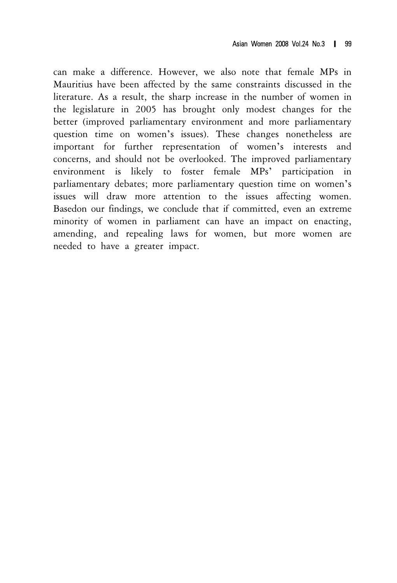can make a difference. However, we also note that female MPs in Mauritius have been affected by the same constraints discussed in the literature. As a result, the sharp increase in the number of women in the legislature in 2005 has brought only modest changes for the better (improved parliamentary environment and more parliamentary question time on women's issues). These changes nonetheless are important for further representation of women's interests and concerns, and should not be overlooked. The improved parliamentary environment is likely to foster female MPs' participation in parliamentary debates; more parliamentary question time on women's issues will draw more attention to the issues affecting women. Basedon our findings, we conclude that if committed, even an extreme minority of women in parliament can have an impact on enacting, amending, and repealing laws for women, but more women are needed to have a greater impact.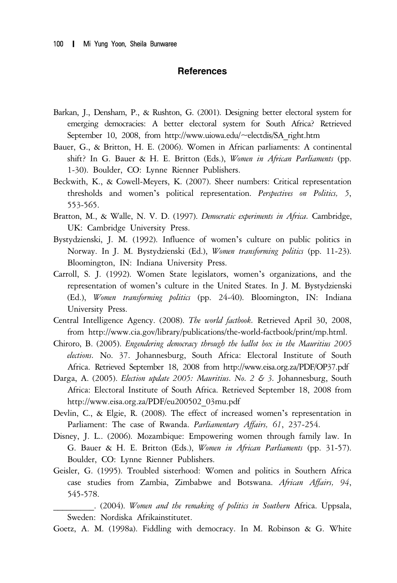#### **References**

- Barkan, J., Densham, P., & Rushton, G. (2001). Designing better electoral system for emerging democracies: A better electoral system for South Africa? Retrieved September 10, 2008, from http://www.uiowa.edu/~electdis/SA\_right.htm
- Bauer, G., & Britton, H. E. (2006). Women in African parliaments: A continental shift? In G. Bauer & H. E. Britton (Eds.), *Women in African Parliaments* (pp. 1-30). Boulder, CO: Lynne Rienner Publishers.
- Beckwith, K., & Cowell-Meyers, K. (2007). Sheer numbers: Critical representation thresholds and women's political representation. *Perspectives on Politics, 5*, 553-565.
- Bratton, M., & Walle, N. V. D. (1997). *Democratic experiments in Africa.* Cambridge, UK: Cambridge University Press.
- Bystydzienski, J. M. (1992). Influence of women's culture on public politics in Norway. In J. M. Bystydzienski (Ed.), *Women transforming politics* (pp. 11-23). Bloomington, IN: Indiana University Press.
- Carroll, S. J. (1992). Women State legislators, women's organizations, and the representation of women's culture in the United States. In J. M. Bystydzienski (Ed.), *Women transforming politics* (pp. 24-40). Bloomington, IN: Indiana University Press.
- Central Intelligence Agency. (2008). *The world factbook.* Retrieved April 30, 2008, from http://www.cia.gov/library/publications/the-world-factbook/print/mp.html.
- Chiroro, B. (2005). *Engendering democracy through the ballot box in the Mauritius 2005 elections.* No. 37. Johannesburg, South Africa: Electoral Institute of South Africa. Retrieved September 18, 2008 from http://www.eisa.org.za/PDF/OP37.pdf
- Darga, A. (2005). *Election update 2005: Mauritius. No. 2 & 3.* Johannesburg, South Africa: Electoral Institute of South Africa. Retrieved September 18, 2008 from http://www.eisa.org.za/PDF/eu200502\_03mu.pdf
- Devlin, C., & Elgie, R. (2008). The effect of increased women's representation in Parliament: The case of Rwanda. *Parliamentary Affairs, 61*, 237-254.
- Disney, J. L.. (2006). Mozambique: Empowering women through family law. In G. Bauer & H. E. Britton (Eds.), *Women in African Parliaments* (pp. 31-57). Boulder, CO: Lynne Rienner Publishers.
- Geisler, G. (1995). Troubled sisterhood: Women and politics in Southern Africa case studies from Zambia, Zimbabwe and Botswana. *African Affairs, 94*, 545-578.

\_\_\_\_\_\_\_\_\_. (2004). *Women and the remaking of politics in Southern* Africa. Uppsala, Sweden: Nordiska Afrikainstitutet.

Goetz, A. M. (1998a). Fiddling with democracy. In M. Robinson & G. White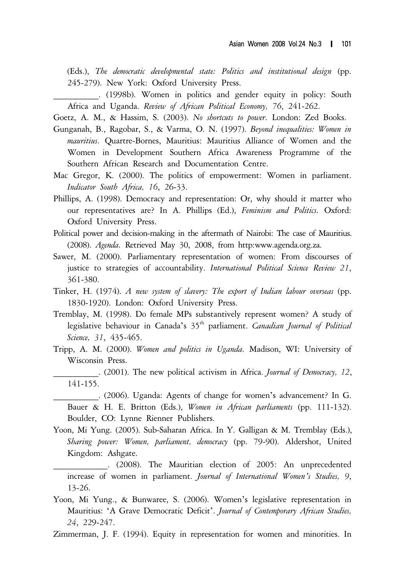(Eds.), *The democratic developmental state: Politics and institutional design* (pp. 245-279). New York: Oxford University Press.

\_\_\_\_\_\_\_\_\_\_. (1998b). Women in politics and gender equity in policy: South Africa and Uganda. *Review of African Political Economy, 76*, 241-262.

Goetz, A. M., & Hassim, S. (2003). *No shortcuts to power.* London: Zed Books.

- Gunganah, B., Ragobar, S., & Varma, O. N. (1997). *Beyond inequalities: Women in mauritius.* Quartre-Bornes, Mauritius: Mauritius Alliance of Women and the Women in Development Southern Africa Awareness Programme of the Southern African Research and Documentation Centre.
- Mac Gregor, K. (2000). The politics of empowerment: Women in parliament. *Indicator South Africa, 16*, 26-33.
- Phillips, A. (1998). Democracy and representation: Or, why should it matter who our representatives are? In A. Phillips (Ed.), *Feminism and Politics.* Oxford: Oxford University Press.
- Political power and decision-making in the aftermath of Nairobi: The case of Mauritius. (2008). *Agenda.* Retrieved May 30, 2008, from http:www.agenda.org.za.
- Sawer, M. (2000). Parliamentary representation of women: From discourses of justice to strategies of accountability. *International Political Science Review 21*, 361-380.
- Tinker, H. (1974). *A new system of slavery: The export of Indian labour overseas* (pp. 1830-1920). London: Oxford University Press.
- Tremblay, M. (1998). Do female MPs substantively represent women? A study of legislative behaviour in Canada's 35<sup>th</sup> parliament. *Canadian Journal of Political Science, 31*, 435-465.
- Tripp, A. M. (2000). *Women and politics in Uganda.* Madison, WI: University of Wisconsin Press.
	- \_\_\_\_\_\_\_\_\_\_. (2001). The new political activism in Africa. *Journal of Democracy, 12*, 141-155.

\_\_\_\_\_\_\_\_\_\_. (2006). Uganda: Agents of change for women's advancement? In G. Bauer & H. E. Britton (Eds.), *Women in African parliaments* (pp. 111-132). Boulder, CO: Lynne Rienner Publishers.

- Yoon, Mi Yung. (2005). Sub-Saharan Africa. In Y. Galligan & M. Tremblay (Eds.), *Sharing power: Women, parliament, democracy* (pp. 79-90). Aldershot, United Kingdom: Ashgate.
- \_\_\_\_\_\_\_\_\_\_\_\_. (2008). The Mauritian election of 2005: An unprecedented increase of women in parliament. *Journal of International Women's Studies, 9*, 13-26.
- Yoon, Mi Yung., & Bunwaree, S. (2006). Women's legislative representation in Mauritius: 'A Grave Democratic Deficit'. *Journal of Contemporary African Studies, 24*, 229-247.
- Zimmerman, J. F. (1994). Equity in representation for women and minorities. In